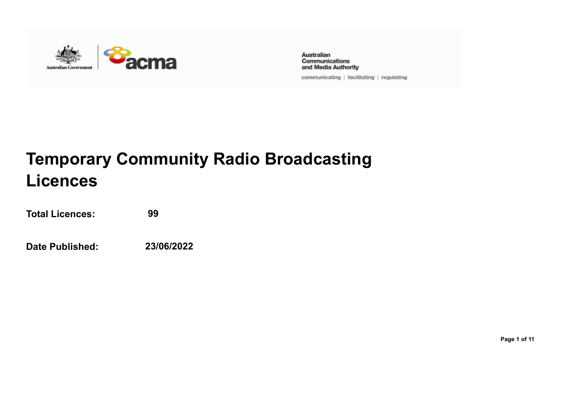

**Australian** Communications and Media Authority

communicating | facilitating | regulating

## **Temporary Community Radio Broadcasting Licences**

**Total Licences: 99**

**Date Published: 23/06/2022**

**Page 1 of 11**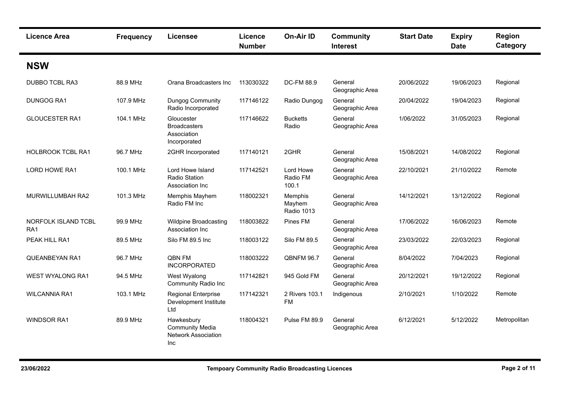| <b>Licence Area</b>                    | <b>Frequency</b> | Licensee                                                                  | Licence<br><b>Number</b> | <b>On-Air ID</b>                | <b>Community</b><br><b>Interest</b> | <b>Start Date</b> | <b>Expiry</b><br><b>Date</b> | <b>Region</b><br>Category |
|----------------------------------------|------------------|---------------------------------------------------------------------------|--------------------------|---------------------------------|-------------------------------------|-------------------|------------------------------|---------------------------|
| <b>NSW</b>                             |                  |                                                                           |                          |                                 |                                     |                   |                              |                           |
| DUBBO TCBL RA3                         | 88.9 MHz         | Orana Broadcasters Inc                                                    | 113030322                | DC-FM 88.9                      | General<br>Geographic Area          | 20/06/2022        | 19/06/2023                   | Regional                  |
| DUNGOG RA1                             | 107.9 MHz        | Dungog Community<br>Radio Incorporated                                    | 117146122                | Radio Dungog                    | General<br>Geographic Area          | 20/04/2022        | 19/04/2023                   | Regional                  |
| <b>GLOUCESTER RA1</b>                  | 104.1 MHz        | Gloucester<br><b>Broadcasters</b><br>Association<br>Incorporated          | 117146622                | <b>Bucketts</b><br>Radio        | General<br>Geographic Area          | 1/06/2022         | 31/05/2023                   | Regional                  |
| <b>HOLBROOK TCBL RA1</b>               | 96.7 MHz         | 2GHR Incorporated                                                         | 117140121                | 2GHR                            | General<br>Geographic Area          | 15/08/2021        | 14/08/2022                   | Regional                  |
| LORD HOWE RA1                          | 100.1 MHz        | Lord Howe Island<br>Radio Station<br>Association Inc                      | 117142521                | Lord Howe<br>Radio FM<br>100.1  | General<br>Geographic Area          | 22/10/2021        | 21/10/2022                   | Remote                    |
| MURWILLUMBAH RA2                       | 101.3 MHz        | Memphis Mayhem<br>Radio FM Inc                                            | 118002321                | Memphis<br>Mayhem<br>Radio 1013 | General<br>Geographic Area          | 14/12/2021        | 13/12/2022                   | Regional                  |
| NORFOLK ISLAND TCBL<br>RA <sub>1</sub> | 99.9 MHz         | <b>Wildpine Broadcasting</b><br>Association Inc                           | 118003822                | Pines FM                        | General<br>Geographic Area          | 17/06/2022        | 16/06/2023                   | Remote                    |
| PEAK HILL RA1                          | 89.5 MHz         | Silo FM 89.5 Inc                                                          | 118003122                | Silo FM 89.5                    | General<br>Geographic Area          | 23/03/2022        | 22/03/2023                   | Regional                  |
| QUEANBEYAN RA1                         | 96.7 MHz         | QBN FM<br><b>INCORPORATED</b>                                             | 118003222                | <b>QBNFM 96.7</b>               | General<br>Geographic Area          | 8/04/2022         | 7/04/2023                    | Regional                  |
| <b>WEST WYALONG RA1</b>                | 94.5 MHz         | West Wyalong<br><b>Community Radio Inc</b>                                | 117142821                | 945 Gold FM                     | General<br>Geographic Area          | 20/12/2021        | 19/12/2022                   | Regional                  |
| <b>WILCANNIA RA1</b>                   | 103.1 MHz        | Regional Enterprise<br>Development Institute<br>Ltd                       | 117142321                | 2 Rivers 103.1<br><b>FM</b>     | Indigenous                          | 2/10/2021         | 1/10/2022                    | Remote                    |
| <b>WINDSOR RA1</b>                     | 89.9 MHz         | Hawkesbury<br><b>Community Media</b><br><b>Network Association</b><br>Inc | 118004321                | Pulse FM 89.9                   | General<br>Geographic Area          | 6/12/2021         | 5/12/2022                    | Metropolitan              |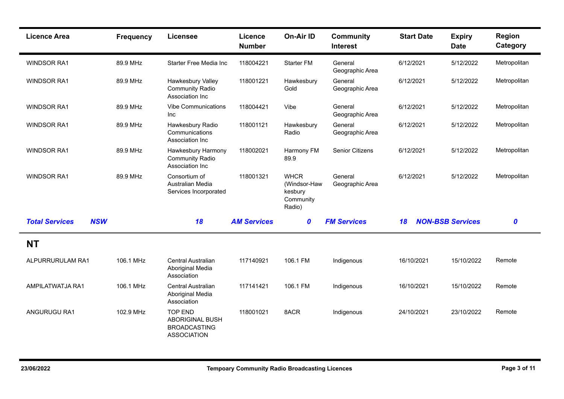| <b>Licence Area</b>                 | <b>Frequency</b> | <b>Licensee</b>                                                                       | <b>Licence</b><br><b>Number</b> | <b>On-Air ID</b>                                              | <b>Community</b><br><b>Interest</b> | <b>Start Date</b> | <b>Expiry</b><br><b>Date</b> | <b>Region</b><br>Category |
|-------------------------------------|------------------|---------------------------------------------------------------------------------------|---------------------------------|---------------------------------------------------------------|-------------------------------------|-------------------|------------------------------|---------------------------|
| <b>WINDSOR RA1</b>                  | 89.9 MHz         | Starter Free Media Inc                                                                | 118004221                       | <b>Starter FM</b>                                             | General<br>Geographic Area          | 6/12/2021         | 5/12/2022                    | Metropolitan              |
| <b>WINDSOR RA1</b>                  | 89.9 MHz         | Hawkesbury Valley<br><b>Community Radio</b><br>Association Inc                        | 118001221                       | Hawkesbury<br>Gold                                            | General<br>Geographic Area          | 6/12/2021         | 5/12/2022                    | Metropolitan              |
| <b>WINDSOR RA1</b>                  | 89.9 MHz         | <b>Vibe Communications</b><br><b>Inc</b>                                              | 118004421                       | Vibe                                                          | General<br>Geographic Area          | 6/12/2021         | 5/12/2022                    | Metropolitan              |
| <b>WINDSOR RA1</b>                  | 89.9 MHz         | Hawkesbury Radio<br>Communications<br>Association Inc                                 | 118001121                       | Hawkesbury<br>Radio                                           | General<br>Geographic Area          | 6/12/2021         | 5/12/2022                    | Metropolitan              |
| <b>WINDSOR RA1</b>                  | 89.9 MHz         | Hawkesbury Harmony<br><b>Community Radio</b><br>Association Inc                       | 118002021                       | Harmony FM<br>89.9                                            | <b>Senior Citizens</b>              | 6/12/2021         | 5/12/2022                    | Metropolitan              |
| <b>WINDSOR RA1</b>                  | 89.9 MHz         | Consortium of<br>Australian Media<br>Services Incorporated                            | 118001321                       | <b>WHCR</b><br>(Windsor-Haw<br>kesbury<br>Community<br>Radio) | General<br>Geographic Area          | 6/12/2021         | 5/12/2022                    | Metropolitan              |
| <b>Total Services</b><br><b>NSW</b> |                  | 18                                                                                    | <b>AM Services</b>              | $\boldsymbol{0}$                                              | <b>FM Services</b>                  | 18                | <b>NON-BSB Services</b>      | 0                         |
| <b>NT</b>                           |                  |                                                                                       |                                 |                                                               |                                     |                   |                              |                           |
| ALPURRURULAM RA1                    | 106.1 MHz        | Central Australian<br>Aboriginal Media<br>Association                                 | 117140921                       | 106.1 FM                                                      | Indigenous                          | 16/10/2021        | 15/10/2022                   | Remote                    |
| AMPILATWATJA RA1                    | 106.1 MHz        | Central Australian<br>Aboriginal Media<br>Association                                 | 117141421                       | 106.1 FM                                                      | Indigenous                          | 16/10/2021        | 15/10/2022                   | Remote                    |
| ANGURUGU RA1                        | 102.9 MHz        | <b>TOP END</b><br><b>ABORIGINAL BUSH</b><br><b>BROADCASTING</b><br><b>ASSOCIATION</b> | 118001021                       | 8ACR                                                          | Indigenous                          | 24/10/2021        | 23/10/2022                   | Remote                    |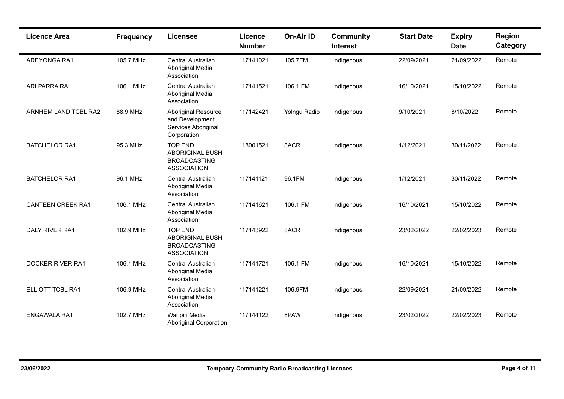| <b>Licence Area</b>      | <b>Frequency</b> | <b>Licensee</b>                                                                       | Licence<br><b>Number</b> | On-Air ID    | <b>Community</b><br><b>Interest</b> | <b>Start Date</b> | <b>Expiry</b><br><b>Date</b> | Region<br>Category |
|--------------------------|------------------|---------------------------------------------------------------------------------------|--------------------------|--------------|-------------------------------------|-------------------|------------------------------|--------------------|
| AREYONGA RA1             | 105.7 MHz        | Central Australian<br>Aboriginal Media<br>Association                                 | 117141021                | 105.7FM      | Indigenous                          | 22/09/2021        | 21/09/2022                   | Remote             |
| ARLPARRA RA1             | 106.1 MHz        | <b>Central Australian</b><br>Aboriginal Media<br>Association                          | 117141521                | 106.1 FM     | Indigenous                          | 16/10/2021        | 15/10/2022                   | Remote             |
| ARNHEM LAND TCBL RA2     | 88.9 MHz         | <b>Aboriginal Resource</b><br>and Development<br>Services Aboriginal<br>Corporation   | 117142421                | Yolngu Radio | Indigenous                          | 9/10/2021         | 8/10/2022                    | Remote             |
| <b>BATCHELOR RA1</b>     | 95.3 MHz         | <b>TOP END</b><br><b>ABORIGINAL BUSH</b><br><b>BROADCASTING</b><br><b>ASSOCIATION</b> | 118001521                | 8ACR         | Indigenous                          | 1/12/2021         | 30/11/2022                   | Remote             |
| <b>BATCHELOR RA1</b>     | 96.1 MHz         | Central Australian<br>Aboriginal Media<br>Association                                 | 117141121                | 96.1FM       | Indigenous                          | 1/12/2021         | 30/11/2022                   | Remote             |
| <b>CANTEEN CREEK RA1</b> | 106.1 MHz        | Central Australian<br>Aboriginal Media<br>Association                                 | 117141621                | 106.1 FM     | Indigenous                          | 16/10/2021        | 15/10/2022                   | Remote             |
| <b>DALY RIVER RA1</b>    | 102.9 MHz        | <b>TOP END</b><br><b>ABORIGINAL BUSH</b><br><b>BROADCASTING</b><br><b>ASSOCIATION</b> | 117143922                | 8ACR         | Indigenous                          | 23/02/2022        | 22/02/2023                   | Remote             |
| <b>DOCKER RIVER RA1</b>  | 106.1 MHz        | Central Australian<br>Aboriginal Media<br>Association                                 | 117141721                | 106.1 FM     | Indigenous                          | 16/10/2021        | 15/10/2022                   | Remote             |
| ELLIOTT TCBL RA1         | 106.9 MHz        | <b>Central Australian</b><br>Aboriginal Media<br>Association                          | 117141221                | 106.9FM      | Indigenous                          | 22/09/2021        | 21/09/2022                   | Remote             |
| <b>ENGAWALA RA1</b>      | 102.7 MHz        | Warlpiri Media<br><b>Aboriginal Corporation</b>                                       | 117144122                | 8PAW         | Indigenous                          | 23/02/2022        | 22/02/2023                   | Remote             |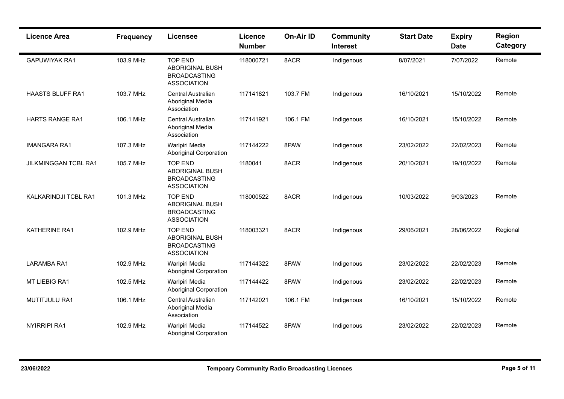| <b>Licence Area</b>         | <b>Frequency</b> | <b>Licensee</b>                                                                       | <b>Licence</b><br><b>Number</b> | On-Air ID | <b>Community</b><br><b>Interest</b> | <b>Start Date</b> | <b>Expiry</b><br><b>Date</b> | <b>Region</b><br>Category |
|-----------------------------|------------------|---------------------------------------------------------------------------------------|---------------------------------|-----------|-------------------------------------|-------------------|------------------------------|---------------------------|
| <b>GAPUWIYAK RA1</b>        | 103.9 MHz        | <b>TOP END</b><br><b>ABORIGINAL BUSH</b><br><b>BROADCASTING</b><br><b>ASSOCIATION</b> | 118000721                       | 8ACR      | Indigenous                          | 8/07/2021         | 7/07/2022                    | Remote                    |
| <b>HAASTS BLUFF RA1</b>     | 103.7 MHz        | <b>Central Australian</b><br>Aboriginal Media<br>Association                          | 117141821                       | 103.7 FM  | Indigenous                          | 16/10/2021        | 15/10/2022                   | Remote                    |
| <b>HARTS RANGE RA1</b>      | 106.1 MHz        | <b>Central Australian</b><br>Aboriginal Media<br>Association                          | 117141921                       | 106.1 FM  | Indigenous                          | 16/10/2021        | 15/10/2022                   | Remote                    |
| <b>IMANGARA RA1</b>         | 107.3 MHz        | Warlpiri Media<br><b>Aboriginal Corporation</b>                                       | 117144222                       | 8PAW      | Indigenous                          | 23/02/2022        | 22/02/2023                   | Remote                    |
| <b>JILKMINGGAN TCBL RA1</b> | 105.7 MHz        | <b>TOP END</b><br><b>ABORIGINAL BUSH</b><br><b>BROADCASTING</b><br><b>ASSOCIATION</b> | 1180041                         | 8ACR      | Indigenous                          | 20/10/2021        | 19/10/2022                   | Remote                    |
| KALKARINDJI TCBL RA1        | 101.3 MHz        | <b>TOP END</b><br>ABORIGINAL BUSH<br><b>BROADCASTING</b><br><b>ASSOCIATION</b>        | 118000522                       | 8ACR      | Indigenous                          | 10/03/2022        | 9/03/2023                    | Remote                    |
| KATHERINE RA1               | 102.9 MHz        | <b>TOP END</b><br><b>ABORIGINAL BUSH</b><br><b>BROADCASTING</b><br><b>ASSOCIATION</b> | 118003321                       | 8ACR      | Indigenous                          | 29/06/2021        | 28/06/2022                   | Regional                  |
| <b>LARAMBA RA1</b>          | 102.9 MHz        | Warlpiri Media<br><b>Aboriginal Corporation</b>                                       | 117144322                       | 8PAW      | Indigenous                          | 23/02/2022        | 22/02/2023                   | Remote                    |
| MT LIEBIG RA1               | 102.5 MHz        | Warlpiri Media<br><b>Aboriginal Corporation</b>                                       | 117144422                       | 8PAW      | Indigenous                          | 23/02/2022        | 22/02/2023                   | Remote                    |
| <b>MUTITJULU RA1</b>        | 106.1 MHz        | Central Australian<br>Aboriginal Media<br>Association                                 | 117142021                       | 106.1 FM  | Indigenous                          | 16/10/2021        | 15/10/2022                   | Remote                    |
| <b>NYIRRIPI RA1</b>         | 102.9 MHz        | Warlpiri Media<br><b>Aboriginal Corporation</b>                                       | 117144522                       | 8PAW      | Indigenous                          | 23/02/2022        | 22/02/2023                   | Remote                    |

н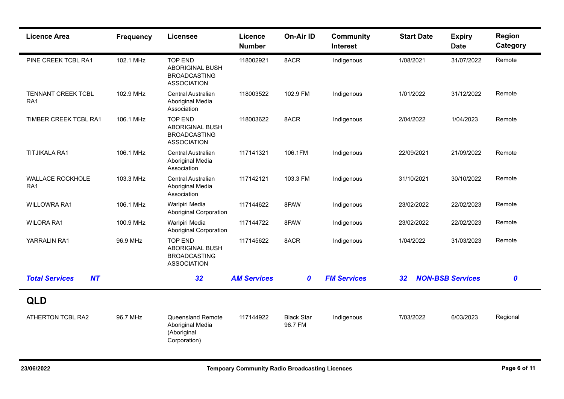| <b>Licence Area</b>                 | <b>Frequency</b> | <b>Licensee</b>                                                                       | Licence<br><b>Number</b> | <b>On-Air ID</b>             | <b>Community</b><br><b>Interest</b> | <b>Start Date</b> | <b>Expiry</b><br><b>Date</b> | Region<br>Category |
|-------------------------------------|------------------|---------------------------------------------------------------------------------------|--------------------------|------------------------------|-------------------------------------|-------------------|------------------------------|--------------------|
| PINE CREEK TCBL RA1                 | 102.1 MHz        | <b>TOP END</b><br><b>ABORIGINAL BUSH</b><br><b>BROADCASTING</b><br><b>ASSOCIATION</b> | 118002921                | 8ACR                         | Indigenous                          | 1/08/2021         | 31/07/2022                   | Remote             |
| TENNANT CREEK TCBL<br>RA1           | 102.9 MHz        | <b>Central Australian</b><br>Aboriginal Media<br>Association                          | 118003522                | 102.9 FM                     | Indigenous                          | 1/01/2022         | 31/12/2022                   | Remote             |
| TIMBER CREEK TCBL RA1               | 106.1 MHz        | <b>TOP END</b><br>ABORIGINAL BUSH<br><b>BROADCASTING</b><br><b>ASSOCIATION</b>        | 118003622                | 8ACR                         | Indigenous                          | 2/04/2022         | 1/04/2023                    | Remote             |
| <b>TITJIKALA RA1</b>                | 106.1 MHz        | Central Australian<br>Aboriginal Media<br>Association                                 | 117141321                | 106.1FM                      | Indigenous                          | 22/09/2021        | 21/09/2022                   | Remote             |
| WALLACE ROCKHOLE<br>RA <sub>1</sub> | 103.3 MHz        | Central Australian<br>Aboriginal Media<br>Association                                 | 117142121                | 103.3 FM                     | Indigenous                          | 31/10/2021        | 30/10/2022                   | Remote             |
| <b>WILLOWRA RA1</b>                 | 106.1 MHz        | Warlpiri Media<br><b>Aboriginal Corporation</b>                                       | 117144622                | 8PAW                         | Indigenous                          | 23/02/2022        | 22/02/2023                   | Remote             |
| <b>WILORA RA1</b>                   | 100.9 MHz        | Warlpiri Media<br><b>Aboriginal Corporation</b>                                       | 117144722                | 8PAW                         | Indigenous                          | 23/02/2022        | 22/02/2023                   | Remote             |
| YARRALIN RA1                        | 96.9 MHz         | <b>TOP END</b><br>ABORIGINAL BUSH<br><b>BROADCASTING</b><br><b>ASSOCIATION</b>        | 117145622                | 8ACR                         | Indigenous                          | 1/04/2022         | 31/03/2023                   | Remote             |
| <b>Total Services</b><br>NT         |                  | 32                                                                                    | <b>AM Services</b>       | 0                            | <b>FM Services</b>                  | 32                | <b>NON-BSB Services</b>      | $\boldsymbol{0}$   |
| <b>QLD</b>                          |                  |                                                                                       |                          |                              |                                     |                   |                              |                    |
| ATHERTON TCBL RA2                   | 96.7 MHz         | <b>Queensland Remote</b><br>Aboriginal Media<br>(Aboriginal<br>Corporation)           | 117144922                | <b>Black Star</b><br>96.7 FM | Indigenous                          | 7/03/2022         | 6/03/2023                    | Regional           |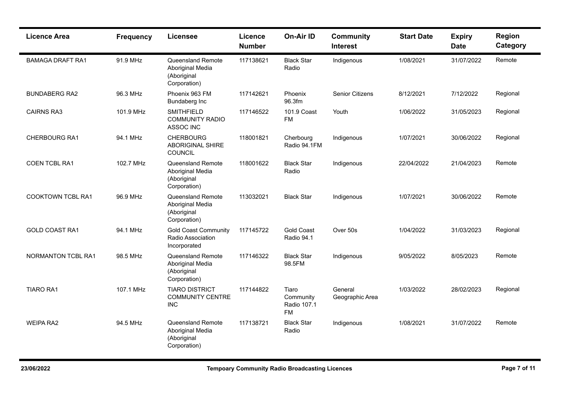| <b>Licence Area</b>       | <b>Frequency</b> | <b>Licensee</b>                                                             | Licence<br><b>Number</b> | On-Air ID                                      | <b>Community</b><br><b>Interest</b> | <b>Start Date</b> | <b>Expiry</b><br><b>Date</b> | <b>Region</b><br>Category |
|---------------------------|------------------|-----------------------------------------------------------------------------|--------------------------|------------------------------------------------|-------------------------------------|-------------------|------------------------------|---------------------------|
| <b>BAMAGA DRAFT RA1</b>   | 91.9 MHz         | <b>Queensland Remote</b><br>Aboriginal Media<br>(Aboriginal<br>Corporation) | 117138621                | <b>Black Star</b><br>Radio                     | Indigenous                          | 1/08/2021         | 31/07/2022                   | Remote                    |
| <b>BUNDABERG RA2</b>      | 96.3 MHz         | Phoenix 963 FM<br>Bundaberg Inc                                             | 117142621                | Phoenix<br>96.3fm                              | <b>Senior Citizens</b>              | 8/12/2021         | 7/12/2022                    | Regional                  |
| <b>CAIRNS RA3</b>         | 101.9 MHz        | <b>SMITHFIELD</b><br><b>COMMUNITY RADIO</b><br><b>ASSOC INC</b>             | 117146522                | 101.9 Coast<br><b>FM</b>                       | Youth                               | 1/06/2022         | 31/05/2023                   | Regional                  |
| <b>CHERBOURG RA1</b>      | 94.1 MHz         | <b>CHERBOURG</b><br><b>ABORIGINAL SHIRE</b><br>COUNCIL                      | 118001821                | Cherbourg<br>Radio 94.1FM                      | Indigenous                          | 1/07/2021         | 30/06/2022                   | Regional                  |
| COEN TCBL RA1             | 102.7 MHz        | <b>Queensland Remote</b><br>Aboriginal Media<br>(Aboriginal<br>Corporation) | 118001622                | <b>Black Star</b><br>Radio                     | Indigenous                          | 22/04/2022        | 21/04/2023                   | Remote                    |
| <b>COOKTOWN TCBL RA1</b>  | 96.9 MHz         | <b>Queensland Remote</b><br>Aboriginal Media<br>(Aboriginal<br>Corporation) | 113032021                | <b>Black Star</b>                              | Indigenous                          | 1/07/2021         | 30/06/2022                   | Remote                    |
| <b>GOLD COAST RA1</b>     | 94.1 MHz         | <b>Gold Coast Community</b><br>Radio Association<br>Incorporated            | 117145722                | <b>Gold Coast</b><br>Radio 94.1                | Over 50s                            | 1/04/2022         | 31/03/2023                   | Regional                  |
| <b>NORMANTON TCBL RA1</b> | 98.5 MHz         | Queensland Remote<br>Aboriginal Media<br>(Aboriginal<br>Corporation)        | 117146322                | <b>Black Star</b><br>98.5FM                    | Indigenous                          | 9/05/2022         | 8/05/2023                    | Remote                    |
| <b>TIARO RA1</b>          | 107.1 MHz        | <b>TIARO DISTRICT</b><br><b>COMMUNITY CENTRE</b><br><b>INC</b>              | 117144822                | Tiaro<br>Community<br>Radio 107.1<br><b>FM</b> | General<br>Geographic Area          | 1/03/2022         | 28/02/2023                   | Regional                  |
| <b>WEIPA RA2</b>          | 94.5 MHz         | Queensland Remote<br>Aboriginal Media<br>(Aboriginal<br>Corporation)        | 117138721                | <b>Black Star</b><br>Radio                     | Indigenous                          | 1/08/2021         | 31/07/2022                   | Remote                    |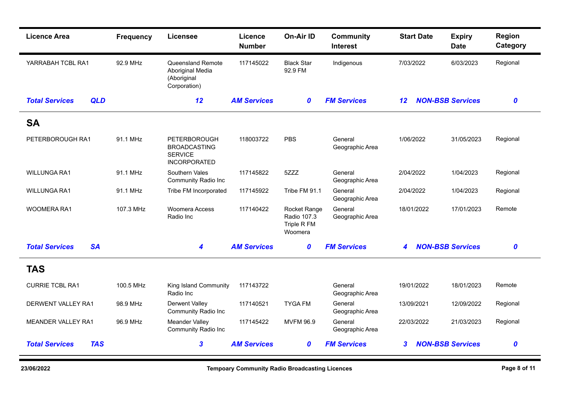| <b>Licence Area</b>                 | <b>Frequency</b> | <b>Licensee</b>                                                                     | Licence<br><b>Number</b> | <b>On-Air ID</b>                                      | <b>Community</b><br><b>Interest</b> | <b>Start Date</b> | <b>Expiry</b><br><b>Date</b> | <b>Region</b><br>Category |
|-------------------------------------|------------------|-------------------------------------------------------------------------------------|--------------------------|-------------------------------------------------------|-------------------------------------|-------------------|------------------------------|---------------------------|
| YARRABAH TCBL RA1                   | 92.9 MHz         | Queensland Remote<br>Aboriginal Media<br>(Aboriginal<br>Corporation)                | 117145022                | <b>Black Star</b><br>92.9 FM                          | Indigenous                          | 7/03/2022         | 6/03/2023                    | Regional                  |
| <b>Total Services</b><br><b>QLD</b> |                  | 12                                                                                  | <b>AM Services</b>       | 0                                                     | <b>FM Services</b>                  | $12 \,$           | <b>NON-BSB Services</b>      | $\boldsymbol{0}$          |
| <b>SA</b>                           |                  |                                                                                     |                          |                                                       |                                     |                   |                              |                           |
| PETERBOROUGH RA1                    | 91.1 MHz         | <b>PETERBOROUGH</b><br><b>BROADCASTING</b><br><b>SERVICE</b><br><b>INCORPORATED</b> | 118003722                | PBS                                                   | General<br>Geographic Area          | 1/06/2022         | 31/05/2023                   | Regional                  |
| <b>WILLUNGA RA1</b>                 | 91.1 MHz         | Southern Vales<br><b>Community Radio Inc</b>                                        | 117145822                | 5ZZZ                                                  | General<br>Geographic Area          | 2/04/2022         | 1/04/2023                    | Regional                  |
| WILLUNGA RA1                        | 91.1 MHz         | Tribe FM Incorporated                                                               | 117145922                | Tribe FM 91.1                                         | General<br>Geographic Area          | 2/04/2022         | 1/04/2023                    | Regional                  |
| WOOMERA RA1                         | 107.3 MHz        | <b>Woomera Access</b><br>Radio Inc                                                  | 117140422                | Rocket Range<br>Radio 107.3<br>Triple R FM<br>Woomera | General<br>Geographic Area          | 18/01/2022        | 17/01/2023                   | Remote                    |
| <b>SA</b><br><b>Total Services</b>  |                  | 4                                                                                   | <b>AM Services</b>       | 0                                                     | <b>FM Services</b>                  | 4                 | <b>NON-BSB Services</b>      | $\boldsymbol{0}$          |
| <b>TAS</b>                          |                  |                                                                                     |                          |                                                       |                                     |                   |                              |                           |
| <b>CURRIE TCBL RA1</b>              | 100.5 MHz        | King Island Community<br>Radio Inc                                                  | 117143722                |                                                       | General<br>Geographic Area          | 19/01/2022        | 18/01/2023                   | Remote                    |
| DERWENT VALLEY RA1                  | 98.9 MHz         | <b>Derwent Valley</b><br><b>Community Radio Inc</b>                                 | 117140521                | <b>TYGA FM</b>                                        | General<br>Geographic Area          | 13/09/2021        | 12/09/2022                   | Regional                  |
| <b>MEANDER VALLEY RA1</b>           | 96.9 MHz         | Meander Valley<br><b>Community Radio Inc</b>                                        | 117145422                | <b>MVFM 96.9</b>                                      | General<br>Geographic Area          | 22/03/2022        | 21/03/2023                   | Regional                  |
| <b>Total Services</b><br><b>TAS</b> |                  | $\mathbf{3}$                                                                        | <b>AM Services</b>       | 0                                                     | <b>FM Services</b>                  | $\boldsymbol{3}$  | <b>NON-BSB Services</b>      | $\boldsymbol{0}$          |

×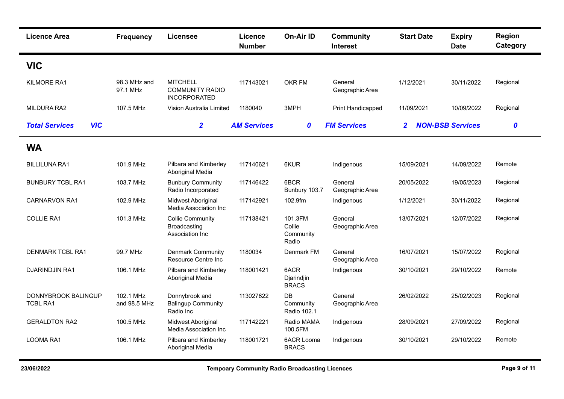| <b>Licence Area</b>                           | <b>Frequency</b>          | <b>Licensee</b>                                                  | Licence<br><b>Number</b> | <b>On-Air ID</b>                        | <b>Community</b><br><b>Interest</b> | <b>Start Date</b> | <b>Expiry</b><br><b>Date</b> | Region<br>Category |
|-----------------------------------------------|---------------------------|------------------------------------------------------------------|--------------------------|-----------------------------------------|-------------------------------------|-------------------|------------------------------|--------------------|
| <b>VIC</b>                                    |                           |                                                                  |                          |                                         |                                     |                   |                              |                    |
| KILMORE RA1                                   | 98.3 MHz and<br>97.1 MHz  | <b>MITCHELL</b><br><b>COMMUNITY RADIO</b><br><b>INCORPORATED</b> | 117143021                | OKR FM                                  | General<br>Geographic Area          | 1/12/2021         | 30/11/2022                   | Regional           |
| MILDURA RA2                                   | 107.5 MHz                 | Vision Australia Limited                                         | 1180040                  | 3MPH                                    | Print Handicapped                   | 11/09/2021        | 10/09/2022                   | Regional           |
| <b>VIC</b><br><b>Total Services</b>           |                           | $\overline{2}$                                                   | <b>AM Services</b>       | $\boldsymbol{0}$                        | <b>FM Services</b>                  | $\mathbf{2}$      | <b>NON-BSB Services</b>      | $\boldsymbol{o}$   |
| <b>WA</b>                                     |                           |                                                                  |                          |                                         |                                     |                   |                              |                    |
| <b>BILLILUNA RA1</b>                          | 101.9 MHz                 | Pilbara and Kimberley<br>Aboriginal Media                        | 117140621                | 6KUR                                    | Indigenous                          | 15/09/2021        | 14/09/2022                   | Remote             |
| <b>BUNBURY TCBL RA1</b>                       | 103.7 MHz                 | <b>Bunbury Community</b><br>Radio Incorporated                   | 117146422                | 6BCR<br>Bunbury 103.7                   | General<br>Geographic Area          | 20/05/2022        | 19/05/2023                   | Regional           |
| <b>CARNARVON RA1</b>                          | 102.9 MHz                 | Midwest Aboriginal<br>Media Association Inc                      | 117142921                | 102.9fm                                 | Indigenous                          | 1/12/2021         | 30/11/2022                   | Regional           |
| <b>COLLIE RA1</b>                             | 101.3 MHz                 | <b>Collie Community</b><br>Broadcasting<br>Association Inc       | 117138421                | 101.3FM<br>Collie<br>Community<br>Radio | General<br>Geographic Area          | 13/07/2021        | 12/07/2022                   | Regional           |
| <b>DENMARK TCBL RA1</b>                       | 99.7 MHz                  | <b>Denmark Community</b><br>Resource Centre Inc                  | 1180034                  | Denmark FM                              | General<br>Geographic Area          | 16/07/2021        | 15/07/2022                   | Regional           |
| <b>DJARINDJIN RA1</b>                         | 106.1 MHz                 | Pilbara and Kimberley<br>Aboriginal Media                        | 118001421                | 6ACR<br>Djarindjin<br><b>BRACS</b>      | Indigenous                          | 30/10/2021        | 29/10/2022                   | Remote             |
| <b>DONNYBROOK BALINGUP</b><br><b>TCBL RA1</b> | 102.1 MHz<br>and 98.5 MHz | Donnybrook and<br><b>Balingup Community</b><br>Radio Inc         | 113027622                | DB<br>Community<br>Radio 102.1          | General<br>Geographic Area          | 26/02/2022        | 25/02/2023                   | Regional           |
| <b>GERALDTON RA2</b>                          | 100.5 MHz                 | Midwest Aboriginal<br>Media Association Inc.                     | 117142221                | Radio MAMA<br>100.5FM                   | Indigenous                          | 28/09/2021        | 27/09/2022                   | Regional           |
| <b>LOOMA RA1</b>                              | 106.1 MHz                 | Pilbara and Kimberley<br>Aboriginal Media                        | 118001721                | <b>6ACR Looma</b><br><b>BRACS</b>       | Indigenous                          | 30/10/2021        | 29/10/2022                   | Remote             |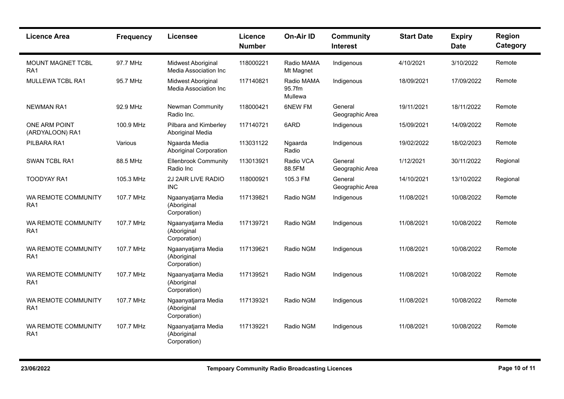| <b>Licence Area</b>                         | <b>Frequency</b> | <b>Licensee</b>                                    | <b>Licence</b><br><b>Number</b> | <b>On-Air ID</b>                | <b>Community</b><br><b>Interest</b> | <b>Start Date</b> | <b>Expiry</b><br><b>Date</b> | Region<br>Category |
|---------------------------------------------|------------------|----------------------------------------------------|---------------------------------|---------------------------------|-------------------------------------|-------------------|------------------------------|--------------------|
| <b>MOUNT MAGNET TCBL</b><br>RA <sub>1</sub> | 97.7 MHz         | Midwest Aboriginal<br>Media Association Inc.       | 118000221                       | Radio MAMA<br>Mt Magnet         | Indigenous                          | 4/10/2021         | 3/10/2022                    | Remote             |
| MULLEWA TCBL RA1                            | 95.7 MHz         | Midwest Aboriginal<br>Media Association Inc.       | 117140821                       | Radio MAMA<br>95.7fm<br>Mullewa | Indigenous                          | 18/09/2021        | 17/09/2022                   | Remote             |
| <b>NEWMAN RA1</b>                           | 92.9 MHz         | Newman Community<br>Radio Inc.                     | 118000421                       | 6NEW FM                         | General<br>Geographic Area          | 19/11/2021        | 18/11/2022                   | Remote             |
| <b>ONE ARM POINT</b><br>(ARDYALOON) RA1     | 100.9 MHz        | Pilbara and Kimberley<br>Aboriginal Media          | 117140721                       | 6ARD                            | Indigenous                          | 15/09/2021        | 14/09/2022                   | Remote             |
| PILBARA RA1                                 | Various          | Ngaarda Media<br><b>Aboriginal Corporation</b>     | 113031122                       | Ngaarda<br>Radio                | Indigenous                          | 19/02/2022        | 18/02/2023                   | Remote             |
| SWAN TCBL RA1                               | 88.5 MHz         | <b>Ellenbrook Community</b><br>Radio Inc           | 113013921                       | Radio VCA<br>88.5FM             | General<br>Geographic Area          | 1/12/2021         | 30/11/2022                   | Regional           |
| <b>TOODYAY RA1</b>                          | 105.3 MHz        | 2J 2AIR LIVE RADIO<br><b>INC</b>                   | 118000921                       | 105.3 FM                        | General<br>Geographic Area          | 14/10/2021        | 13/10/2022                   | Regional           |
| WA REMOTE COMMUNITY<br>RA <sub>1</sub>      | 107.7 MHz        | Ngaanyatjarra Media<br>(Aboriginal<br>Corporation) | 117139821                       | Radio NGM                       | Indigenous                          | 11/08/2021        | 10/08/2022                   | Remote             |
| WA REMOTE COMMUNITY<br>RA <sub>1</sub>      | 107.7 MHz        | Ngaanyatjarra Media<br>(Aboriginal<br>Corporation) | 117139721                       | Radio NGM                       | Indigenous                          | 11/08/2021        | 10/08/2022                   | Remote             |
| WA REMOTE COMMUNITY<br>RA <sub>1</sub>      | 107.7 MHz        | Ngaanyatjarra Media<br>(Aboriginal<br>Corporation) | 117139621                       | Radio NGM                       | Indigenous                          | 11/08/2021        | 10/08/2022                   | Remote             |
| WA REMOTE COMMUNITY<br>RA <sub>1</sub>      | 107.7 MHz        | Ngaanyatjarra Media<br>(Aboriginal<br>Corporation) | 117139521                       | Radio NGM                       | Indigenous                          | 11/08/2021        | 10/08/2022                   | Remote             |
| WA REMOTE COMMUNITY<br>RA <sub>1</sub>      | 107.7 MHz        | Ngaanyatjarra Media<br>(Aboriginal<br>Corporation) | 117139321                       | Radio NGM                       | Indigenous                          | 11/08/2021        | 10/08/2022                   | Remote             |
| WA REMOTE COMMUNITY<br>RA <sub>1</sub>      | 107.7 MHz        | Ngaanyatjarra Media<br>(Aboriginal<br>Corporation) | 117139221                       | Radio NGM                       | Indigenous                          | 11/08/2021        | 10/08/2022                   | Remote             |